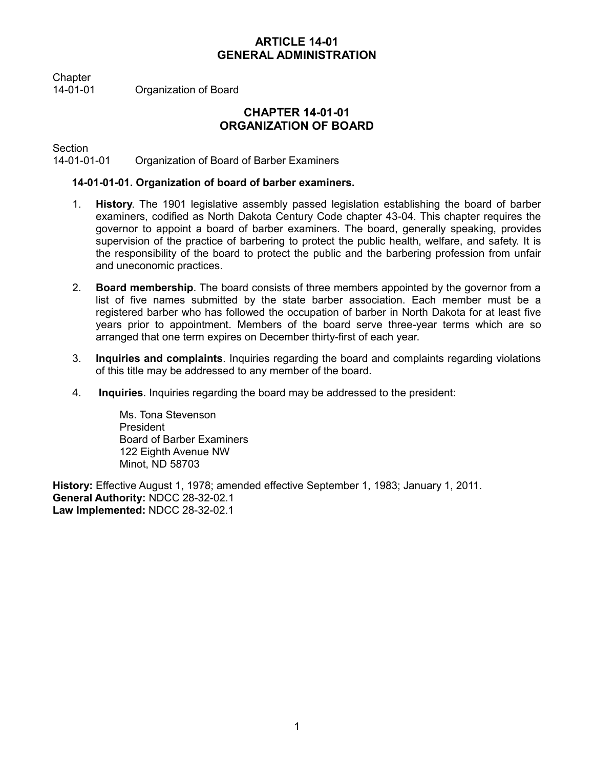# **ARTICLE 14-01 GENERAL ADMINISTRATION**

Chapter

14-01-01 Organization of Board

# **CHAPTER 14-01-01 ORGANIZATION OF BOARD**

Section

14-01-01-01 Organization of Board of Barber Examiners

## **14-01-01-01. Organization of board of barber examiners.**

- 1. **History**. The 1901 legislative assembly passed legislation establishing the board of barber examiners, codified as North Dakota Century Code chapter 43-04. This chapter requires the governor to appoint a board of barber examiners. The board, generally speaking, provides supervision of the practice of barbering to protect the public health, welfare, and safety. It is the responsibility of the board to protect the public and the barbering profession from unfair and uneconomic practices.
- 2. **Board membership**. The board consists of three members appointed by the governor from a list of five names submitted by the state barber association. Each member must be a registered barber who has followed the occupation of barber in North Dakota for at least five years prior to appointment. Members of the board serve three-year terms which are so arranged that one term expires on December thirty-first of each year.
- 3. **Inquiries and complaints**. Inquiries regarding the board and complaints regarding violations of this title may be addressed to any member of the board.
- 4. **Inquiries**. Inquiries regarding the board may be addressed to the president:

Ms. Tona Stevenson President Board of Barber Examiners 122 Eighth Avenue NW Minot, ND 58703

**History:** Effective August 1, 1978; amended effective September 1, 1983; January 1, 2011. **General Authority:** NDCC 28-32-02.1 **Law Implemented:** NDCC 28-32-02.1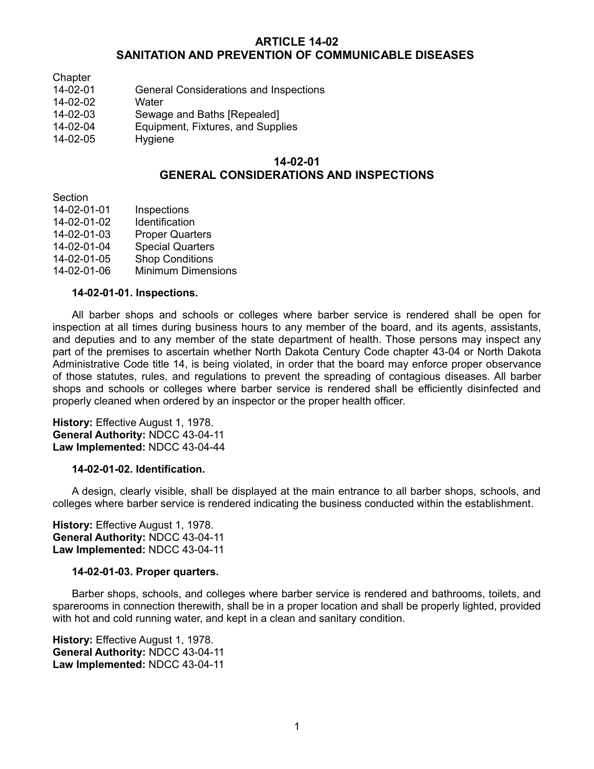## **ARTICLE 14-02 SANITATION AND PREVENTION OF COMMUNICABLE DISEASES**

- **Chapter**
- 14-02-01 General Considerations and Inspections
- 14-02-02 Water
- 14-02-03 Sewage and Baths [Repealed]
- 14-02-04 Equipment, Fixtures, and Supplies
- 14-02-05 Hygiene

## **14-02-01 GENERAL CONSIDERATIONS AND INSPECTIONS**

**Section** 

- 14-02-01-01 Inspections
- 14-02-01-02 Identification
- 14-02-01-03 Proper Quarters
- 14-02-01-04 Special Quarters
- 14-02-01-05 Shop Conditions
- 14-02-01-06 Minimum Dimensions

### **14-02-01-01. Inspections.**

All barber shops and schools or colleges where barber service is rendered shall be open for inspection at all times during business hours to any member of the board, and its agents, assistants, and deputies and to any member of the state department of health. Those persons may inspect any part of the premises to ascertain whether North Dakota Century Code chapter 43-04 or North Dakota Administrative Code title 14, is being violated, in order that the board may enforce proper observance of those statutes, rules, and regulations to prevent the spreading of contagious diseases. All barber shops and schools or colleges where barber service is rendered shall be efficiently disinfected and properly cleaned when ordered by an inspector or the proper health officer.

**History:** Effective August 1, 1978. **General Authority:** NDCC 43-04-11 **Law Implemented:** NDCC 43-04-44

### **14-02-01-02. Identification.**

A design, clearly visible, shall be displayed at the main entrance to all barber shops, schools, and colleges where barber service is rendered indicating the business conducted within the establishment.

**History:** Effective August 1, 1978. **General Authority:** NDCC 43-04-11 **Law Implemented:** NDCC 43-04-11

### **14-02-01-03. Proper quarters.**

Barber shops, schools, and colleges where barber service is rendered and bathrooms, toilets, and sparerooms in connection therewith, shall be in a proper location and shall be properly lighted, provided with hot and cold running water, and kept in a clean and sanitary condition.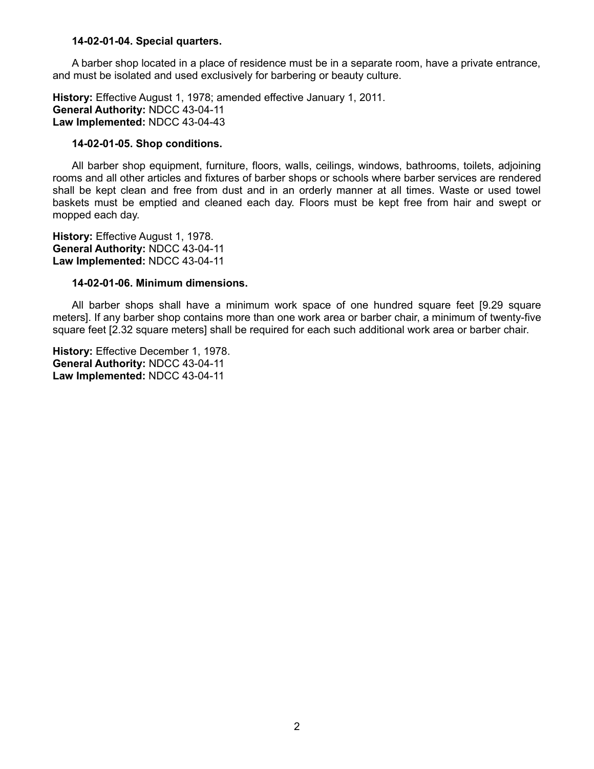#### **14-02-01-04. Special quarters.**

A barber shop located in a place of residence must be in a separate room, have a private entrance, and must be isolated and used exclusively for barbering or beauty culture.

**History:** Effective August 1, 1978; amended effective January 1, 2011. **General Authority:** NDCC 43-04-11 **Law Implemented:** NDCC 43-04-43

### **14-02-01-05. Shop conditions.**

All barber shop equipment, furniture, floors, walls, ceilings, windows, bathrooms, toilets, adjoining rooms and all other articles and fixtures of barber shops or schools where barber services are rendered shall be kept clean and free from dust and in an orderly manner at all times. Waste or used towel baskets must be emptied and cleaned each day. Floors must be kept free from hair and swept or mopped each day.

**History:** Effective August 1, 1978. **General Authority:** NDCC 43-04-11 **Law Implemented:** NDCC 43-04-11

### **14-02-01-06. Minimum dimensions.**

All barber shops shall have a minimum work space of one hundred square feet [9.29 square meters]. If any barber shop contains more than one work area or barber chair, a minimum of twenty-five square feet [2.32 square meters] shall be required for each such additional work area or barber chair.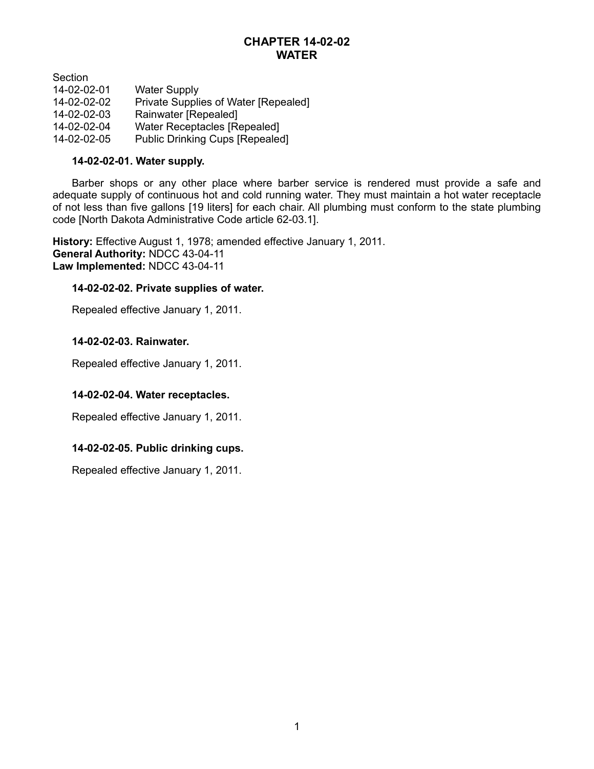# **CHAPTER 14-02-02 WATER**

Section

| 14-02-02-01 | <b>Water Supply</b>                    |
|-------------|----------------------------------------|
| 14-02-02-02 | Private Supplies of Water [Repealed]   |
| 14-02-02-03 | Rainwater [Repealed]                   |
| 14-02-02-04 | <b>Water Receptacles [Repealed]</b>    |
| 14-02-02-05 | <b>Public Drinking Cups [Repealed]</b> |

## **14-02-02-01. Water supply.**

Barber shops or any other place where barber service is rendered must provide a safe and adequate supply of continuous hot and cold running water. They must maintain a hot water receptacle of not less than five gallons [19 liters] for each chair. All plumbing must conform to the state plumbing code [North Dakota Administrative Code article 62-03.1].

**History:** Effective August 1, 1978; amended effective January 1, 2011. **General Authority:** NDCC 43-04-11 **Law Implemented:** NDCC 43-04-11

## **14-02-02-02. Private supplies of water.**

Repealed effective January 1, 2011.

## **14-02-02-03. Rainwater.**

Repealed effective January 1, 2011.

## **14-02-02-04. Water receptacles.**

Repealed effective January 1, 2011.

## **14-02-02-05. Public drinking cups.**

Repealed effective January 1, 2011.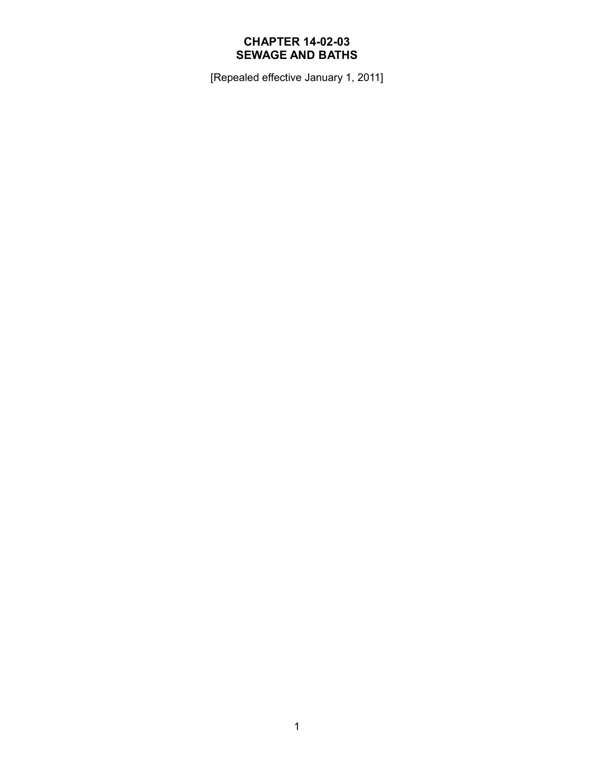# **CHAPTER 14-02-03 SEWAGE AND BATHS**

[Repealed effective January 1, 2011]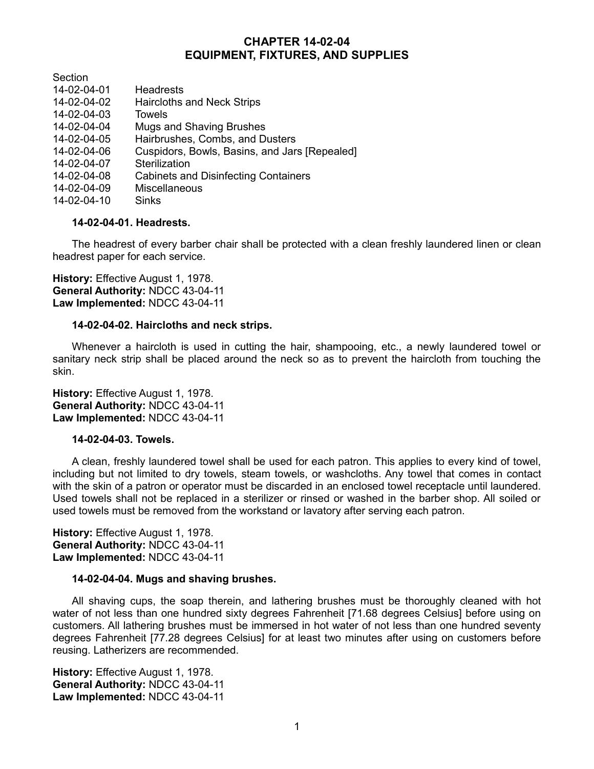# **CHAPTER 14-02-04 EQUIPMENT, FIXTURES, AND SUPPLIES**

Section

- 14-02-04-01 Headrests 14-02-04-02 Haircloths and Neck Strips 14-02-04-03 Towels 14-02-04-04 Mugs and Shaving Brushes 14-02-04-05 Hairbrushes, Combs, and Dusters 14-02-04-06 Cuspidors, Bowls, Basins, and Jars [Repealed] 14-02-04-07 Sterilization 14-02-04-08 Cabinets and Disinfecting Containers 14-02-04-09 Miscellaneous
- 14-02-04-10 Sinks

### **14-02-04-01. Headrests.**

The headrest of every barber chair shall be protected with a clean freshly laundered linen or clean headrest paper for each service.

**History:** Effective August 1, 1978. **General Authority:** NDCC 43-04-11 **Law Implemented:** NDCC 43-04-11

#### **14-02-04-02. Haircloths and neck strips.**

Whenever a haircloth is used in cutting the hair, shampooing, etc., a newly laundered towel or sanitary neck strip shall be placed around the neck so as to prevent the haircloth from touching the skin.

**History:** Effective August 1, 1978. **General Authority:** NDCC 43-04-11 **Law Implemented:** NDCC 43-04-11

#### **14-02-04-03. Towels.**

A clean, freshly laundered towel shall be used for each patron. This applies to every kind of towel, including but not limited to dry towels, steam towels, or washcloths. Any towel that comes in contact with the skin of a patron or operator must be discarded in an enclosed towel receptacle until laundered. Used towels shall not be replaced in a sterilizer or rinsed or washed in the barber shop. All soiled or used towels must be removed from the workstand or lavatory after serving each patron.

**History:** Effective August 1, 1978. **General Authority:** NDCC 43-04-11 **Law Implemented:** NDCC 43-04-11

#### **14-02-04-04. Mugs and shaving brushes.**

All shaving cups, the soap therein, and lathering brushes must be thoroughly cleaned with hot water of not less than one hundred sixty degrees Fahrenheit [71.68 degrees Celsius] before using on customers. All lathering brushes must be immersed in hot water of not less than one hundred seventy degrees Fahrenheit [77.28 degrees Celsius] for at least two minutes after using on customers before reusing. Latherizers are recommended.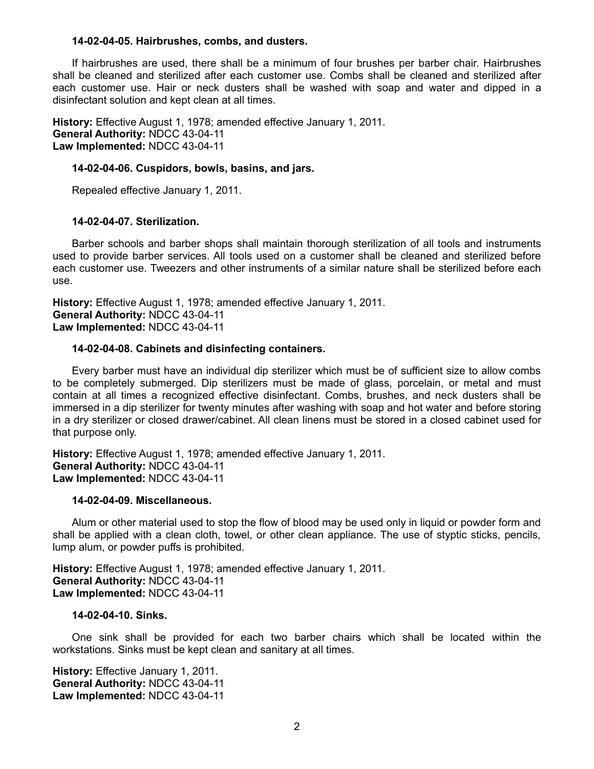#### **14-02-04-05. Hairbrushes, combs, and dusters.**

If hairbrushes are used, there shall be a minimum of four brushes per barber chair. Hairbrushes shall be cleaned and sterilized after each customer use. Combs shall be cleaned and sterilized after each customer use. Hair or neck dusters shall be washed with soap and water and dipped in a disinfectant solution and kept clean at all times.

**History:** Effective August 1, 1978; amended effective January 1, 2011. **General Authority:** NDCC 43-04-11 **Law Implemented:** NDCC 43-04-11

#### **14-02-04-06. Cuspidors, bowls, basins, and jars.**

Repealed effective January 1, 2011.

#### **14-02-04-07. Sterilization.**

Barber schools and barber shops shall maintain thorough sterilization of all tools and instruments used to provide barber services. All tools used on a customer shall be cleaned and sterilized before each customer use. Tweezers and other instruments of a similar nature shall be sterilized before each use.

**History:** Effective August 1, 1978; amended effective January 1, 2011. **General Authority:** NDCC 43-04-11 **Law Implemented:** NDCC 43-04-11

#### **14-02-04-08. Cabinets and disinfecting containers.**

Every barber must have an individual dip sterilizer which must be of sufficient size to allow combs to be completely submerged. Dip sterilizers must be made of glass, porcelain, or metal and must contain at all times a recognized effective disinfectant. Combs, brushes, and neck dusters shall be immersed in a dip sterilizer for twenty minutes after washing with soap and hot water and before storing in a dry sterilizer or closed drawer/cabinet. All clean linens must be stored in a closed cabinet used for that purpose only.

**History:** Effective August 1, 1978; amended effective January 1, 2011. **General Authority:** NDCC 43-04-11 **Law Implemented:** NDCC 43-04-11

#### **14-02-04-09. Miscellaneous.**

Alum or other material used to stop the flow of blood may be used only in liquid or powder form and shall be applied with a clean cloth, towel, or other clean appliance. The use of styptic sticks, pencils, lump alum, or powder puffs is prohibited.

**History:** Effective August 1, 1978; amended effective January 1, 2011. **General Authority:** NDCC 43-04-11 **Law Implemented:** NDCC 43-04-11

#### **14-02-04-10. Sinks.**

One sink shall be provided for each two barber chairs which shall be located within the workstations. Sinks must be kept clean and sanitary at all times.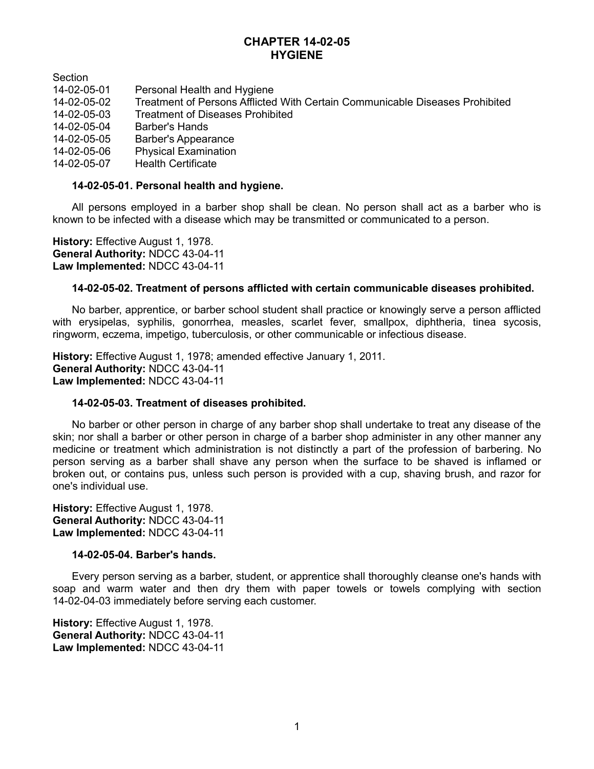## **CHAPTER 14-02-05 HYGIENE**

**Section** 

- 14-02-05-01 Personal Health and Hygiene<br>14-02-05-02 Treatment of Persons Afflicted
- Treatment of Persons Afflicted With Certain Communicable Diseases Prohibited
- 14-02-05-03 Treatment of Diseases Prohibited<br>14-02-05-04 Barber's Hands
- Barber's Hands
- 14-02-05-05 Barber's Appearance
- 14-02-05-06 Physical Examination
- 14-02-05-07 Health Certificate

### **14-02-05-01. Personal health and hygiene.**

All persons employed in a barber shop shall be clean. No person shall act as a barber who is known to be infected with a disease which may be transmitted or communicated to a person.

**History:** Effective August 1, 1978. **General Authority:** NDCC 43-04-11 **Law Implemented:** NDCC 43-04-11

## **14-02-05-02. Treatment of persons afflicted with certain communicable diseases prohibited.**

No barber, apprentice, or barber school student shall practice or knowingly serve a person afflicted with erysipelas, syphilis, gonorrhea, measles, scarlet fever, smallpox, diphtheria, tinea sycosis, ringworm, eczema, impetigo, tuberculosis, or other communicable or infectious disease.

**History:** Effective August 1, 1978; amended effective January 1, 2011. **General Authority:** NDCC 43-04-11 **Law Implemented:** NDCC 43-04-11

## **14-02-05-03. Treatment of diseases prohibited.**

No barber or other person in charge of any barber shop shall undertake to treat any disease of the skin; nor shall a barber or other person in charge of a barber shop administer in any other manner any medicine or treatment which administration is not distinctly a part of the profession of barbering. No person serving as a barber shall shave any person when the surface to be shaved is inflamed or broken out, or contains pus, unless such person is provided with a cup, shaving brush, and razor for one's individual use.

**History:** Effective August 1, 1978. **General Authority:** NDCC 43-04-11 **Law Implemented:** NDCC 43-04-11

### **14-02-05-04. Barber's hands.**

Every person serving as a barber, student, or apprentice shall thoroughly cleanse one's hands with soap and warm water and then dry them with paper towels or towels complying with section 14-02-04-03 immediately before serving each customer.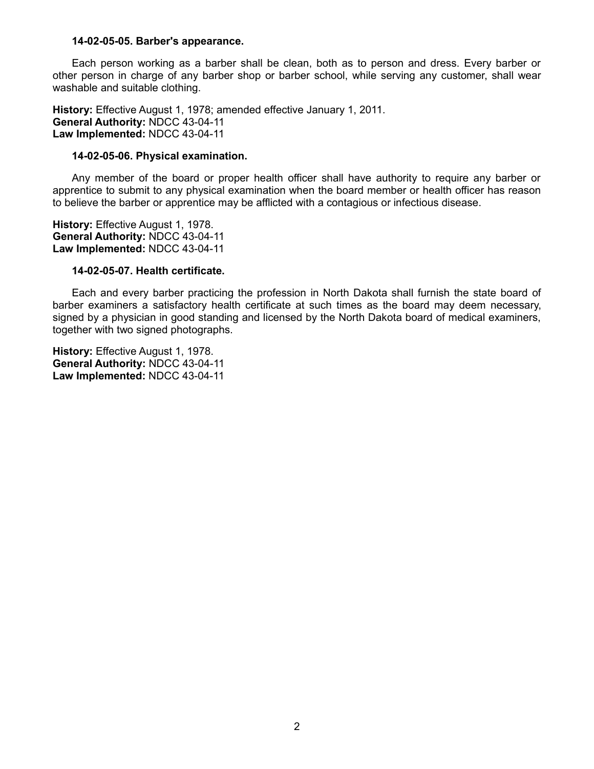#### **14-02-05-05. Barber's appearance.**

Each person working as a barber shall be clean, both as to person and dress. Every barber or other person in charge of any barber shop or barber school, while serving any customer, shall wear washable and suitable clothing.

**History:** Effective August 1, 1978; amended effective January 1, 2011. **General Authority:** NDCC 43-04-11 **Law Implemented:** NDCC 43-04-11

#### **14-02-05-06. Physical examination.**

Any member of the board or proper health officer shall have authority to require any barber or apprentice to submit to any physical examination when the board member or health officer has reason to believe the barber or apprentice may be afflicted with a contagious or infectious disease.

**History:** Effective August 1, 1978. **General Authority:** NDCC 43-04-11 **Law Implemented:** NDCC 43-04-11

#### **14-02-05-07. Health certificate.**

Each and every barber practicing the profession in North Dakota shall furnish the state board of barber examiners a satisfactory health certificate at such times as the board may deem necessary, signed by a physician in good standing and licensed by the North Dakota board of medical examiners, together with two signed photographs.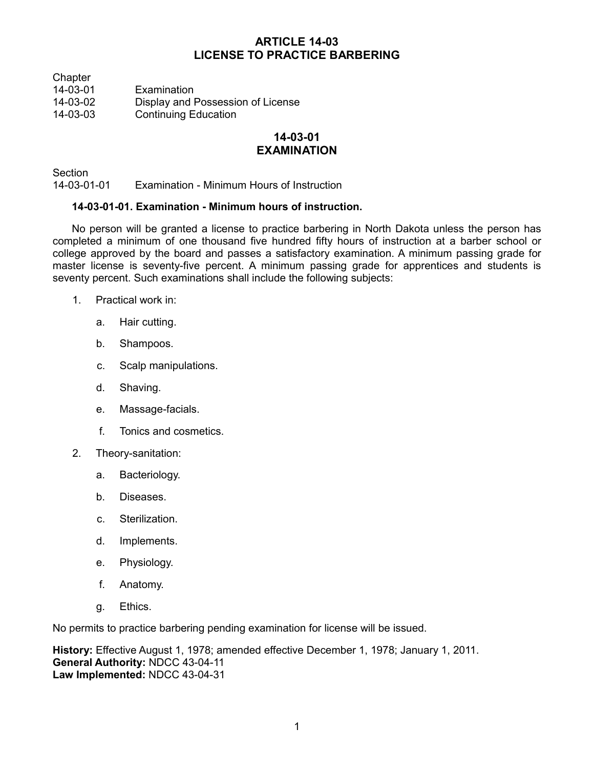# **ARTICLE 14-03 LICENSE TO PRACTICE BARBERING**

**Chapter** 

14-03-01 Examination<br>14-03-02 Display and I

- Display and Possession of License
- 14-03-03 Continuing Education

## **14-03-01 EXAMINATION**

**Section** 

14-03-01-01 Examination - Minimum Hours of Instruction

## **14-03-01-01. Examination - Minimum hours of instruction.**

No person will be granted a license to practice barbering in North Dakota unless the person has completed a minimum of one thousand five hundred fifty hours of instruction at a barber school or college approved by the board and passes a satisfactory examination. A minimum passing grade for master license is seventy-five percent. A minimum passing grade for apprentices and students is seventy percent. Such examinations shall include the following subjects:

- 1. Practical work in:
	- a. Hair cutting.
	- b. Shampoos.
	- c. Scalp manipulations.
	- d. Shaving.
	- e. Massage-facials.
	- f. Tonics and cosmetics.
- 2. Theory-sanitation:
	- a. Bacteriology.
	- b. Diseases.
	- c. Sterilization.
	- d. Implements.
	- e. Physiology.
	- f. Anatomy.
	- g. Ethics.

No permits to practice barbering pending examination for license will be issued.

**History:** Effective August 1, 1978; amended effective December 1, 1978; January 1, 2011. **General Authority:** NDCC 43-04-11 **Law Implemented:** NDCC 43-04-31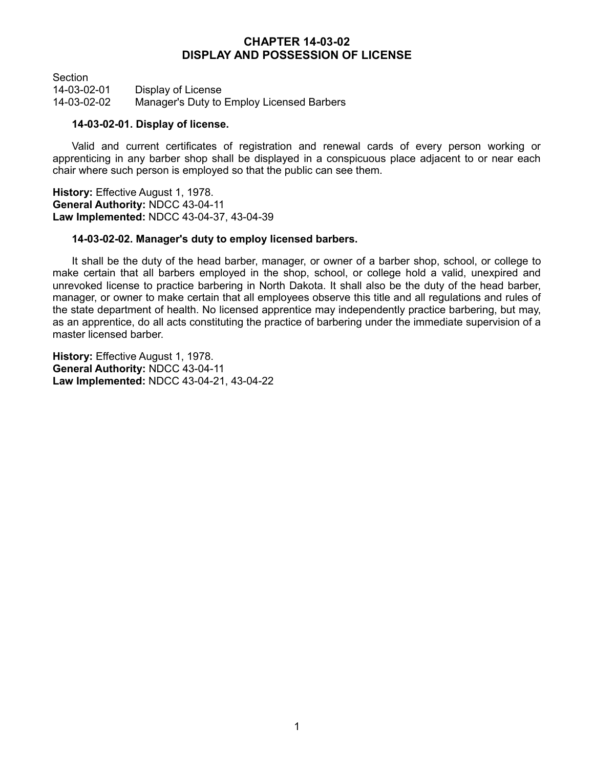## **CHAPTER 14-03-02 DISPLAY AND POSSESSION OF LICENSE**

Section 14-03-02-01 Display of License 14-03-02-02 Manager's Duty to Employ Licensed Barbers

### **14-03-02-01. Display of license.**

Valid and current certificates of registration and renewal cards of every person working or apprenticing in any barber shop shall be displayed in a conspicuous place adjacent to or near each chair where such person is employed so that the public can see them.

**History:** Effective August 1, 1978. **General Authority:** NDCC 43-04-11 **Law Implemented:** NDCC 43-04-37, 43-04-39

## **14-03-02-02. Manager's duty to employ licensed barbers.**

It shall be the duty of the head barber, manager, or owner of a barber shop, school, or college to make certain that all barbers employed in the shop, school, or college hold a valid, unexpired and unrevoked license to practice barbering in North Dakota. It shall also be the duty of the head barber, manager, or owner to make certain that all employees observe this title and all regulations and rules of the state department of health. No licensed apprentice may independently practice barbering, but may, as an apprentice, do all acts constituting the practice of barbering under the immediate supervision of a master licensed barber.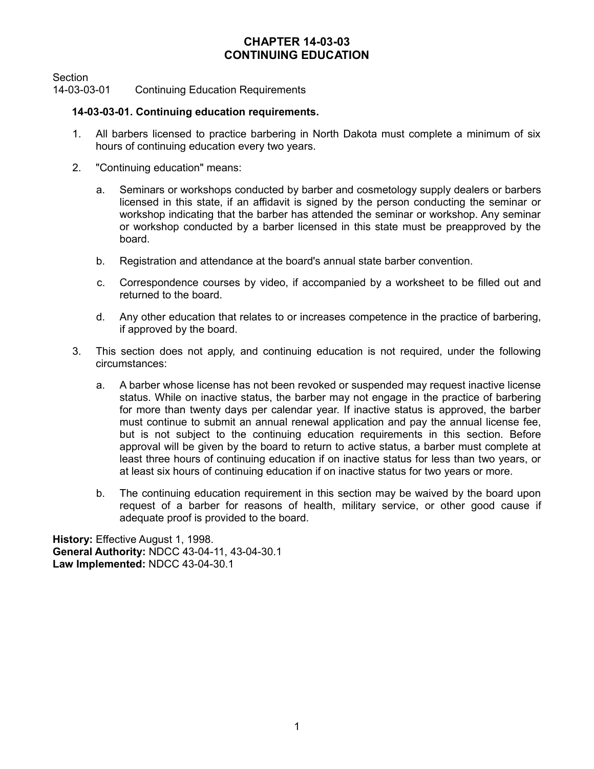# **CHAPTER 14-03-03 CONTINUING EDUCATION**

Section

14-03-03-01 Continuing Education Requirements

## **14-03-03-01. Continuing education requirements.**

- 1. All barbers licensed to practice barbering in North Dakota must complete a minimum of six hours of continuing education every two years.
- 2. "Continuing education" means:
	- a. Seminars or workshops conducted by barber and cosmetology supply dealers or barbers licensed in this state, if an affidavit is signed by the person conducting the seminar or workshop indicating that the barber has attended the seminar or workshop. Any seminar or workshop conducted by a barber licensed in this state must be preapproved by the board.
	- b. Registration and attendance at the board's annual state barber convention.
	- c. Correspondence courses by video, if accompanied by a worksheet to be filled out and returned to the board.
	- d. Any other education that relates to or increases competence in the practice of barbering, if approved by the board.
- 3. This section does not apply, and continuing education is not required, under the following circumstances:
	- a. A barber whose license has not been revoked or suspended may request inactive license status. While on inactive status, the barber may not engage in the practice of barbering for more than twenty days per calendar year. If inactive status is approved, the barber must continue to submit an annual renewal application and pay the annual license fee, but is not subject to the continuing education requirements in this section. Before approval will be given by the board to return to active status, a barber must complete at least three hours of continuing education if on inactive status for less than two years, or at least six hours of continuing education if on inactive status for two years or more.
	- b. The continuing education requirement in this section may be waived by the board upon request of a barber for reasons of health, military service, or other good cause if adequate proof is provided to the board.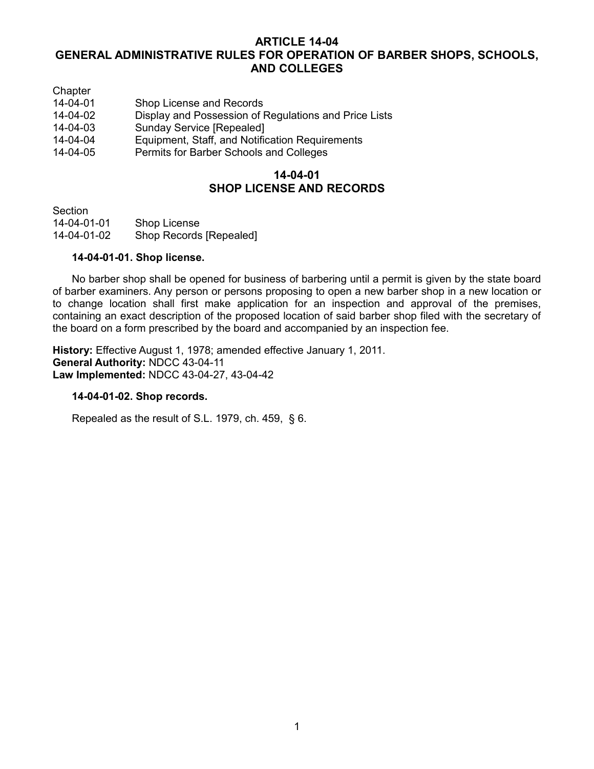## **ARTICLE 14-04 GENERAL ADMINISTRATIVE RULES FOR OPERATION OF BARBER SHOPS, SCHOOLS, AND COLLEGES**

| Chapter        |                                                       |
|----------------|-------------------------------------------------------|
| $14 - 04 - 01$ | Shop License and Records                              |
| 14-04-02       | Display and Possession of Regulations and Price Lists |
| 14-04-03       | <b>Sunday Service [Repealed]</b>                      |
| 14-04-04       | Equipment, Staff, and Notification Requirements       |
| 14-04-05       | Permits for Barber Schools and Colleges               |

## **14-04-01 SHOP LICENSE AND RECORDS**

Section

14-04-01-01 Shop License<br>14-04-01-02 Shop Records Shop Records [Repealed]

## **14-04-01-01. Shop license.**

No barber shop shall be opened for business of barbering until a permit is given by the state board of barber examiners. Any person or persons proposing to open a new barber shop in a new location or to change location shall first make application for an inspection and approval of the premises, containing an exact description of the proposed location of said barber shop filed with the secretary of the board on a form prescribed by the board and accompanied by an inspection fee.

**History:** Effective August 1, 1978; amended effective January 1, 2011. **General Authority:** NDCC 43-04-11 **Law Implemented:** NDCC 43-04-27, 43-04-42

### **14-04-01-02. Shop records.**

Repealed as the result of S.L. 1979, ch. 459, § 6.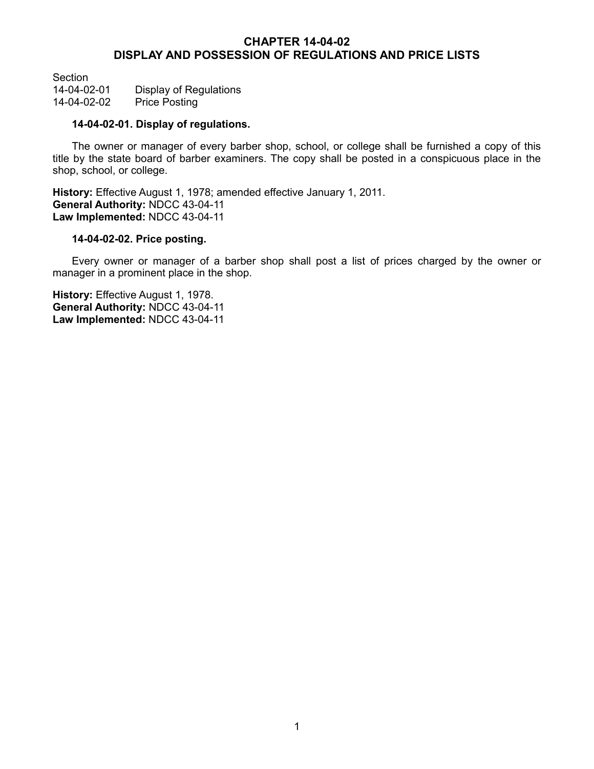## **CHAPTER 14-04-02 DISPLAY AND POSSESSION OF REGULATIONS AND PRICE LISTS**

Section 14-04-02-01 Display of Regulations<br>14-04-02-02 Price Posting Price Posting

## **14-04-02-01. Display of regulations.**

The owner or manager of every barber shop, school, or college shall be furnished a copy of this title by the state board of barber examiners. The copy shall be posted in a conspicuous place in the shop, school, or college.

**History:** Effective August 1, 1978; amended effective January 1, 2011. **General Authority:** NDCC 43-04-11 **Law Implemented:** NDCC 43-04-11

### **14-04-02-02. Price posting.**

Every owner or manager of a barber shop shall post a list of prices charged by the owner or manager in a prominent place in the shop.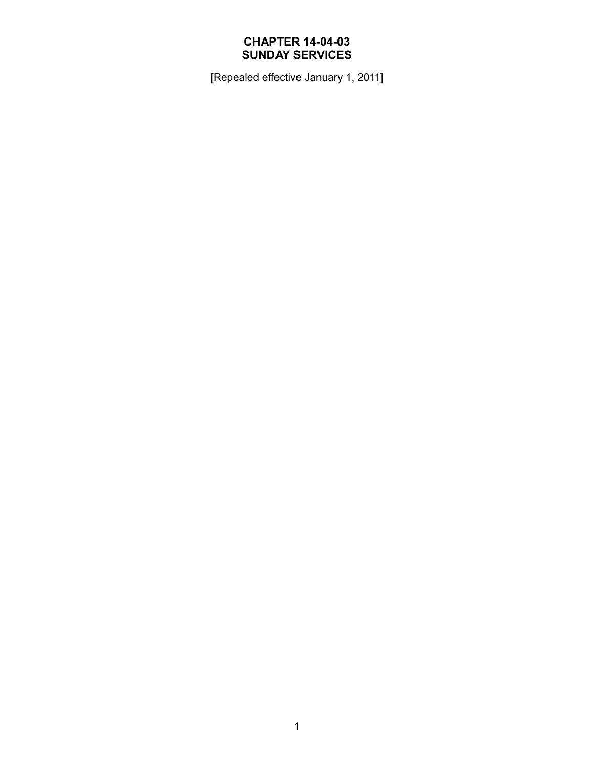# **CHAPTER 14-04-03 SUNDAY SERVICES**

[Repealed effective January 1, 2011]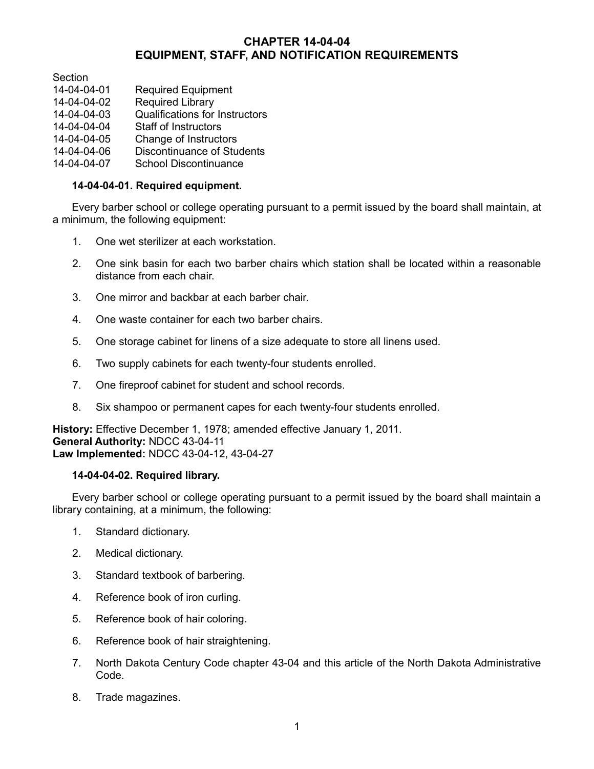# **CHAPTER 14-04-04 EQUIPMENT, STAFF, AND NOTIFICATION REQUIREMENTS**

Section

- 14-04-04-01 Required Equipment<br>14-04-04-02 Required Library
- Required Library
- 14-04-04-03 Qualifications for Instructors
- 14-04-04-04 Staff of Instructors
- 14-04-04-05 Change of Instructors
- 14-04-04-06 Discontinuance of Students
- 14-04-04-07 School Discontinuance

## **14-04-04-01. Required equipment.**

Every barber school or college operating pursuant to a permit issued by the board shall maintain, at a minimum, the following equipment:

- 1. One wet sterilizer at each workstation.
- 2. One sink basin for each two barber chairs which station shall be located within a reasonable distance from each chair.
- 3. One mirror and backbar at each barber chair.
- 4. One waste container for each two barber chairs.
- 5. One storage cabinet for linens of a size adequate to store all linens used.
- 6. Two supply cabinets for each twenty-four students enrolled.
- 7. One fireproof cabinet for student and school records.
- 8. Six shampoo or permanent capes for each twenty-four students enrolled.

**History:** Effective December 1, 1978; amended effective January 1, 2011. **General Authority:** NDCC 43-04-11 **Law Implemented:** NDCC 43-04-12, 43-04-27

## **14-04-04-02. Required library.**

Every barber school or college operating pursuant to a permit issued by the board shall maintain a library containing, at a minimum, the following:

- 1. Standard dictionary.
- 2. Medical dictionary.
- 3. Standard textbook of barbering.
- 4. Reference book of iron curling.
- 5. Reference book of hair coloring.
- 6. Reference book of hair straightening.
- 7. North Dakota Century Code chapter 43-04 and this article of the North Dakota Administrative Code.
- 8. Trade magazines.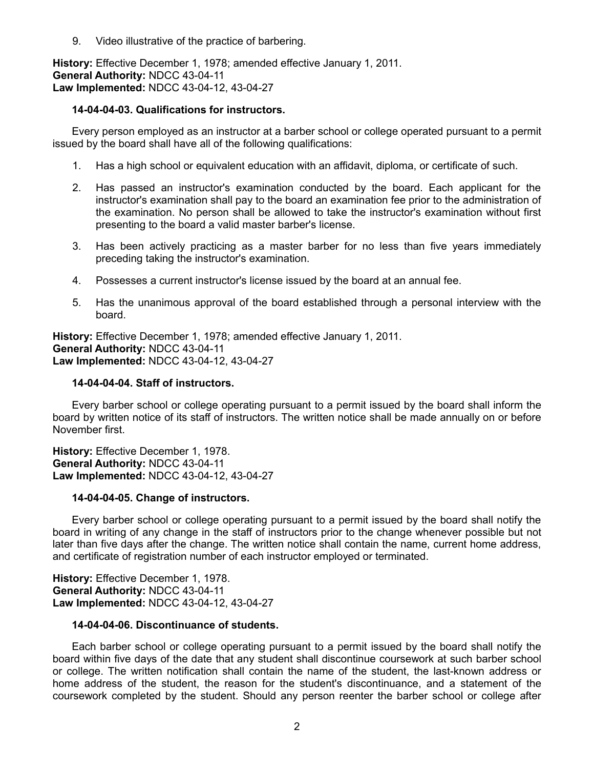9. Video illustrative of the practice of barbering.

**History:** Effective December 1, 1978; amended effective January 1, 2011. **General Authority:** NDCC 43-04-11 **Law Implemented:** NDCC 43-04-12, 43-04-27

## **14-04-04-03. Qualifications for instructors.**

Every person employed as an instructor at a barber school or college operated pursuant to a permit issued by the board shall have all of the following qualifications:

- 1. Has a high school or equivalent education with an affidavit, diploma, or certificate of such.
- 2. Has passed an instructor's examination conducted by the board. Each applicant for the instructor's examination shall pay to the board an examination fee prior to the administration of the examination. No person shall be allowed to take the instructor's examination without first presenting to the board a valid master barber's license.
- 3. Has been actively practicing as a master barber for no less than five years immediately preceding taking the instructor's examination.
- 4. Possesses a current instructor's license issued by the board at an annual fee.
- 5. Has the unanimous approval of the board established through a personal interview with the board.

**History:** Effective December 1, 1978; amended effective January 1, 2011. **General Authority:** NDCC 43-04-11 **Law Implemented:** NDCC 43-04-12, 43-04-27

## **14-04-04-04. Staff of instructors.**

Every barber school or college operating pursuant to a permit issued by the board shall inform the board by written notice of its staff of instructors. The written notice shall be made annually on or before November first.

**History:** Effective December 1, 1978. **General Authority:** NDCC 43-04-11 **Law Implemented:** NDCC 43-04-12, 43-04-27

### **14-04-04-05. Change of instructors.**

Every barber school or college operating pursuant to a permit issued by the board shall notify the board in writing of any change in the staff of instructors prior to the change whenever possible but not later than five days after the change. The written notice shall contain the name, current home address, and certificate of registration number of each instructor employed or terminated.

**History:** Effective December 1, 1978. **General Authority:** NDCC 43-04-11 **Law Implemented:** NDCC 43-04-12, 43-04-27

## **14-04-04-06. Discontinuance of students.**

Each barber school or college operating pursuant to a permit issued by the board shall notify the board within five days of the date that any student shall discontinue coursework at such barber school or college. The written notification shall contain the name of the student, the last-known address or home address of the student, the reason for the student's discontinuance, and a statement of the coursework completed by the student. Should any person reenter the barber school or college after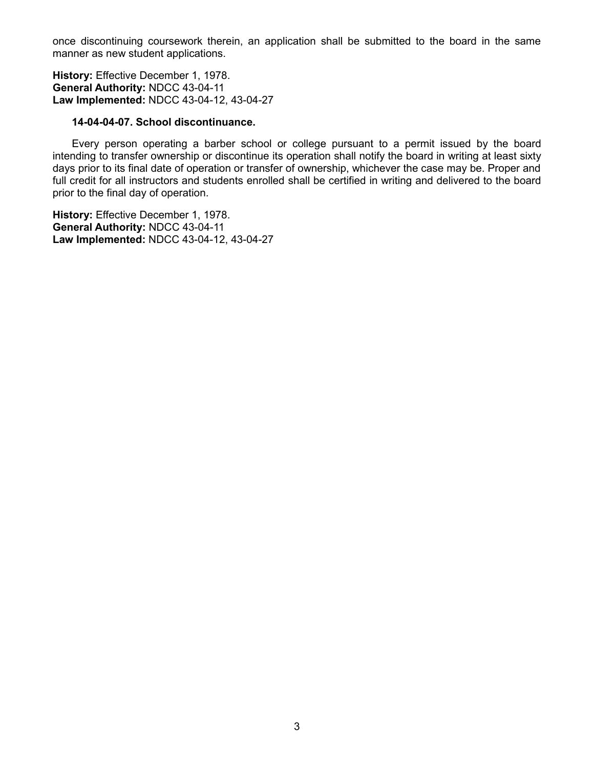once discontinuing coursework therein, an application shall be submitted to the board in the same manner as new student applications.

**History:** Effective December 1, 1978. **General Authority:** NDCC 43-04-11 **Law Implemented:** NDCC 43-04-12, 43-04-27

### **14-04-04-07. School discontinuance.**

Every person operating a barber school or college pursuant to a permit issued by the board intending to transfer ownership or discontinue its operation shall notify the board in writing at least sixty days prior to its final date of operation or transfer of ownership, whichever the case may be. Proper and full credit for all instructors and students enrolled shall be certified in writing and delivered to the board prior to the final day of operation.

**History:** Effective December 1, 1978. **General Authority:** NDCC 43-04-11 **Law Implemented:** NDCC 43-04-12, 43-04-27